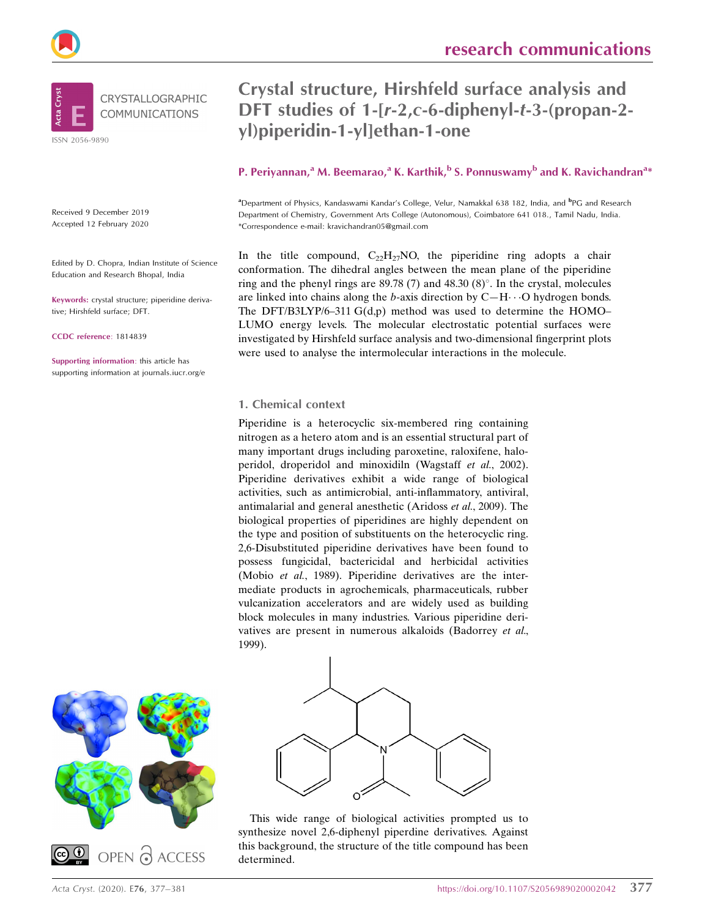



Received 9 December 2019 Accepted 12 February 2020

Edited by D. Chopra, Indian Institute of Science Education and Research Bhopal, India

Keywords: crystal structure; piperidine derivative; Hirshfeld surface; DFT.

CCDC reference: 1814839

Supporting information: this article has supporting information at journals.iucr.org/e

# Crystal structure, Hirshfeld surface analysis and DFT studies of 1-[r-2,c-6-diphenyl-t-3-(propan-2 yl)piperidin-1-yl]ethan-1-one

## P. Periyannan,<sup>a</sup> M. Beemarao,<sup>a</sup> K. Karthik,<sup>b</sup> S. Ponnuswamy<sup>b</sup> and K. Ravichandran<sup>a</sup>\*

<sup>a</sup> Department of Physics, Kandaswami Kandar's College, Velur, Namakkal 638 182, India, and <sup>b</sup>PG and Research Department of Chemistry, Government Arts College (Autonomous), Coimbatore 641 018., Tamil Nadu, India. \*Correspondence e-mail: kravichandran05@gmail.com

In the title compound,  $C_{22}H_{27}NO$ , the piperidine ring adopts a chair conformation. The dihedral angles between the mean plane of the piperidine ring and the phenyl rings are  $89.78(7)$  and  $48.30(8)^\circ$ . In the crystal, molecules are linked into chains along the b-axis direction by  $C-H\cdots O$  hydrogen bonds. The DFT/B3LYP/6–311 G(d,p) method was used to determine the HOMO– LUMO energy levels. The molecular electrostatic potential surfaces were investigated by Hirshfeld surface analysis and two-dimensional fingerprint plots were used to analyse the intermolecular interactions in the molecule.

#### 1. Chemical context

Piperidine is a heterocyclic six-membered ring containing nitrogen as a hetero atom and is an essential structural part of many important drugs including paroxetine, raloxifene, haloperidol, droperidol and minoxidiln (Wagstaff et al., 2002). Piperidine derivatives exhibit a wide range of biological activities, such as antimicrobial, anti-inflammatory, antiviral, antimalarial and general anesthetic (Aridoss et al., 2009). The biological properties of piperidines are highly dependent on the type and position of substituents on the heterocyclic ring. 2,6-Disubstituted piperidine derivatives have been found to possess fungicidal, bactericidal and herbicidal activities (Mobio et al., 1989). Piperidine derivatives are the intermediate products in agrochemicals, pharmaceuticals, rubber vulcanization accelerators and are widely used as building block molecules in many industries. Various piperidine derivatives are present in numerous alkaloids (Badorrey et al., 1999).





This wide range of biological activities prompted us to synthesize novel 2,6-diphenyl piperdine derivatives. Against this background, the structure of the title compound has been determined.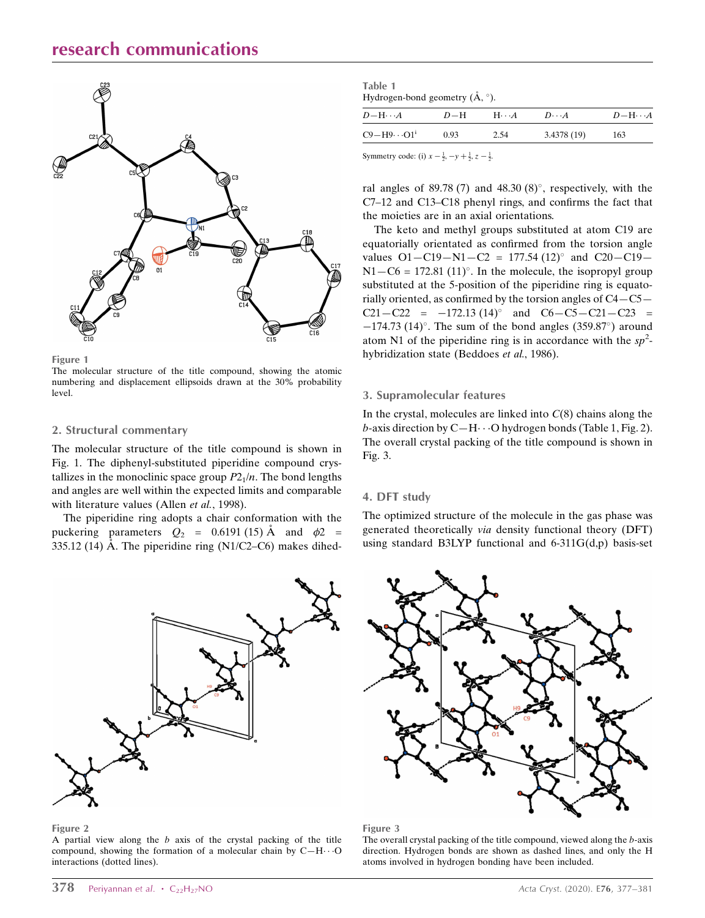# research communications



Figure 1

The molecular structure of the title compound, showing the atomic numbering and displacement ellipsoids drawn at the 30% probability level.

#### 2. Structural commentary

The molecular structure of the title compound is shown in Fig. 1. The diphenyl-substituted piperidine compound crystallizes in the monoclinic space group  $P2_1/n$ . The bond lengths and angles are well within the expected limits and comparable with literature values (Allen et al., 1998).

The piperidine ring adopts a chair conformation with the puckering parameters  $Q_2 = 0.6191$  (15) Å and  $\phi$ 2 = 335.12 (14) Å. The piperidine ring (N1/C2–C6) makes dihed-



Figure 2

A partial view along the  $b$  axis of the crystal packing of the title compound, showing the formation of a molecular chain by  $C-H \cdots O$ interactions (dotted lines).

| Table 1                                            |  |
|----------------------------------------------------|--|
| Hydrogen-bond geometry $(\mathring{A}, \degree)$ . |  |

| $D-\mathrm{H}\cdots A$ | $D-H$ | $H\cdots A$ | $D\cdot\cdot\cdot A$ | $D-\mathrm{H}\cdots A$ |
|------------------------|-------|-------------|----------------------|------------------------|
| $C9 - H9 \cdots O1^i$  | 0.93  | 2.54        | 3.4378(19)           | 163                    |
|                        |       |             |                      |                        |

Symmetry code: (i)  $x - \frac{1}{2}$ ,  $-y + \frac{1}{2}$ ,  $z - \frac{1}{2}$ .

ral angles of 89.78 (7) and  $48.30(8)^\circ$ , respectively, with the C7–12 and C13–C18 phenyl rings, and confirms the fact that the moieties are in an axial orientations.

The keto and methyl groups substituted at atom C19 are equatorially orientated as confirmed from the torsion angle values  $O1 - C19 - N1 - C2 = 177.54 (12)$ ° and  $C20 - C19 N1 - C6 = 172.81$  (11)<sup>o</sup>. In the molecule, the isopropyl group substituted at the 5-position of the piperidine ring is equatorially oriented, as confirmed by the torsion angles of C4—C5—  $C21 - C22 = -172.13 \ (14)^{\circ}$  and  $C6 - C5 - C21 - C23 =$  $-174.73$  (14)°. The sum of the bond angles (359.87°) around atom N1 of the piperidine ring is in accordance with the  $sp^2$ hybridization state (Beddoes *et al.*, 1986).

#### 3. Supramolecular features

In the crystal, molecules are linked into  $C(8)$  chains along the b-axis direction by  $C-H \cdots O$  hydrogen bonds (Table 1, Fig. 2). The overall crystal packing of the title compound is shown in Fig. 3.

#### 4. DFT study

The optimized structure of the molecule in the gas phase was generated theoretically via density functional theory (DFT) using standard B3LYP functional and  $6-311G(d,p)$  basis-set



#### Figure 3

The overall crystal packing of the title compound, viewed along the b-axis direction. Hydrogen bonds are shown as dashed lines, and only the H atoms involved in hydrogen bonding have been included.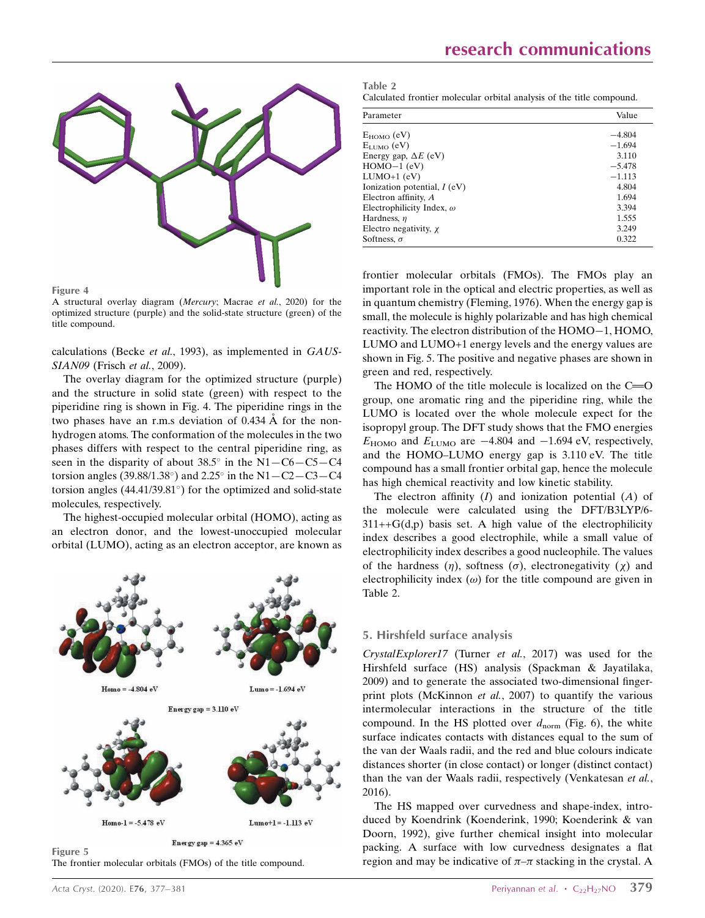

Figure 4

A structural overlay diagram (Mercury; Macrae et al., 2020) for the optimized structure (purple) and the solid-state structure (green) of the title compound.

calculations (Becke et al., 1993), as implemented in GAUS-SIAN09 (Frisch et al., 2009).

The overlay diagram for the optimized structure (purple) and the structure in solid state (green) with respect to the piperidine ring is shown in Fig. 4. The piperidine rings in the two phases have an r.m.s deviation of  $0.434 \text{ Å}$  for the nonhydrogen atoms. The conformation of the molecules in the two phases differs with respect to the central piperidine ring, as seen in the disparity of about  $38.5^{\circ}$  in the N1-C6-C5-C4 torsion angles (39.88/1.38 $^{\circ}$ ) and 2.25 $^{\circ}$  in the N1 - C2 - C3 - C4 torsion angles  $(44.41/39.81^{\circ})$  for the optimized and solid-state molecules, respectively.

The highest-occupied molecular orbital (HOMO), acting as an electron donor, and the lowest-unoccupied molecular orbital (LUMO), acting as an electron acceptor, are known as



The frontier molecular orbitals (FMOs) of the title compound.

| Parameter                        | Value    |
|----------------------------------|----------|
| $E_{HOMO}$ (eV)                  | $-4.804$ |
| $E_{LUMO}$ (eV)                  | $-1.694$ |
| Energy gap, $\Delta E$ (eV)      | 3.110    |
| $HOMO-1$ (eV)                    | $-5.478$ |
| $LUMO+1$ (eV)                    | $-1.113$ |
| Ionization potential, $I$ (eV)   | 4.804    |
| Electron affinity, $A$           | 1.694    |
| Electrophilicity Index, $\omega$ | 3.394    |
| Hardness, $\eta$                 | 1.555    |
| Electro negativity, $\chi$       | 3.249    |
| Softness, $\sigma$               | 0.322    |

frontier molecular orbitals (FMOs). The FMOs play an important role in the optical and electric properties, as well as in quantum chemistry (Fleming, 1976). When the energy gap is small, the molecule is highly polarizable and has high chemical reactivity. The electron distribution of the  $HOMO-1$ ,  $HOMO$ , LUMO and LUMO+1 energy levels and the energy values are shown in Fig. 5. The positive and negative phases are shown in green and red, respectively.

The HOMO of the title molecule is localized on the  $C = 0$ group, one aromatic ring and the piperidine ring, while the LUMO is located over the whole molecule expect for the isopropyl group. The DFT study shows that the FMO energies  $E_{\text{HOMO}}$  and  $E_{\text{LUMO}}$  are  $-4.804$  and  $-1.694$  eV, respectively, and the HOMO–LUMO energy gap is 3.110 eV. The title compound has a small frontier orbital gap, hence the molecule has high chemical reactivity and low kinetic stability.

The electron affinity  $(I)$  and ionization potential  $(A)$  of the molecule were calculated using the DFT/B3LYP/6-  $311++G(d,p)$  basis set. A high value of the electrophilicity index describes a good electrophile, while a small value of electrophilicity index describes a good nucleophile. The values of the hardness  $(\eta)$ , softness  $(\sigma)$ , electronegativity  $(\chi)$  and electrophilicity index  $(\omega)$  for the title compound are given in Table 2.

#### 5. Hirshfeld surface analysis

CrystalExplorer17 (Turner et al., 2017) was used for the Hirshfeld surface (HS) analysis (Spackman & Jayatilaka, 2009) and to generate the associated two-dimensional fingerprint plots (McKinnon et al., 2007) to quantify the various intermolecular interactions in the structure of the title compound. In the HS plotted over  $d_{\text{norm}}$  (Fig. 6), the white surface indicates contacts with distances equal to the sum of the van der Waals radii, and the red and blue colours indicate distances shorter (in close contact) or longer (distinct contact) than the van der Waals radii, respectively (Venkatesan et al., 2016).

The HS mapped over curvedness and shape-index, introduced by Koendrink (Koenderink, 1990; Koenderink & van Doorn, 1992), give further chemical insight into molecular packing. A surface with low curvedness designates a flat region and may be indicative of  $\pi-\pi$  stacking in the crystal. A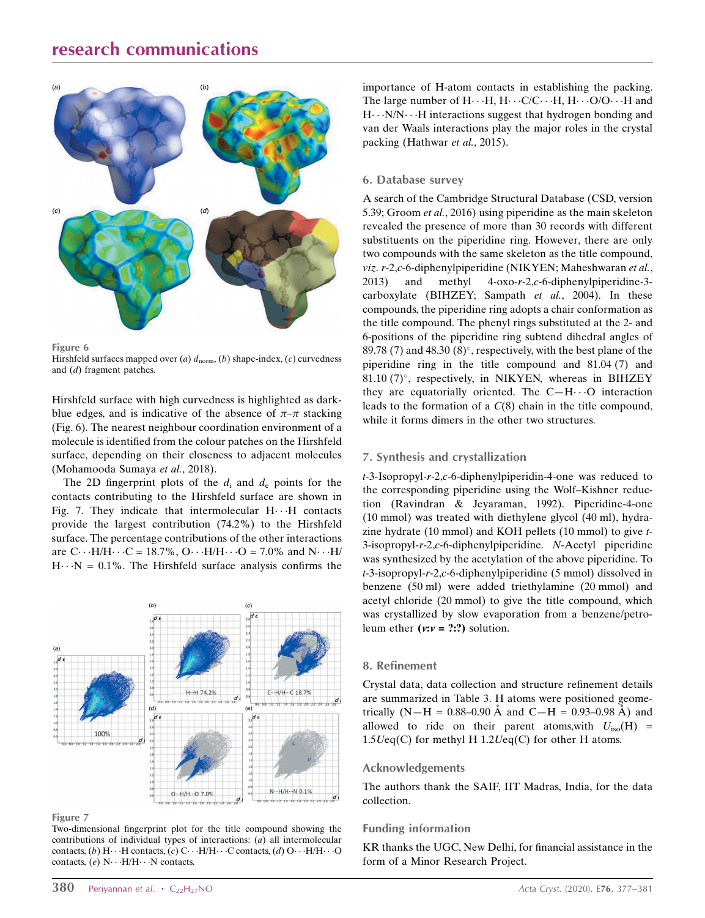# research communications



Figure 6

Hirshfeld surfaces mapped over (a)  $d_{\text{norm}}$ , (b) shape-index, (c) curvedness and (d) fragment patches.

Hirshfeld surface with high curvedness is highlighted as darkblue edges, and is indicative of the absence of  $\pi-\pi$  stacking (Fig. 6). The nearest neighbour coordination environment of a molecule is identified from the colour patches on the Hirshfeld surface, depending on their closeness to adjacent molecules (Mohamooda Sumaya et al., 2018).

The 2D fingerprint plots of the  $d_i$  and  $d_e$  points for the contacts contributing to the Hirshfeld surface are shown in Fig. 7. They indicate that intermolecular  $H \cdot \cdot \cdot H$  contacts provide the largest contribution (74.2%) to the Hirshfeld surface. The percentage contributions of the other interactions are  $C \cdot \cdot H/H \cdot \cdot \cdot C = 18.7\%$ ,  $O \cdot \cdot \cdot H/H \cdot \cdot \cdot O = 7.0\%$  and  $N \cdot \cdot \cdot H$  $H \cdot \cdot N = 0.1\%$ . The Hirshfeld surface analysis confirms the



Figure 7

Two-dimensional fingerprint plot for the title compound showing the contributions of individual types of interactions: (a) all intermolecular contacts, (b)  $H \cdots H$  contacts, (c)  $C \cdots H/H \cdots C$  contacts, (d)  $O \cdots H/H \cdots O$ contacts, (e)  $N \cdot \cdot \cdot H/H \cdot \cdot \cdot N$  contacts.

importance of H-atom contacts in establishing the packing. The large number of  $H \cdot \cdot \cdot H$ ,  $H \cdot \cdot \cdot C/C \cdot \cdot \cdot H$ ,  $H \cdot \cdot \cdot O/O \cdot \cdot \cdot H$  and  $H \cdot \cdot \cdot N/N \cdot \cdot \cdot H$  interactions suggest that hydrogen bonding and van der Waals interactions play the major roles in the crystal packing (Hathwar et al., 2015).

#### 6. Database survey

A search of the Cambridge Structural Database (CSD, version 5.39; Groom et al., 2016) using piperidine as the main skeleton revealed the presence of more than 30 records with different substituents on the piperidine ring. However, there are only two compounds with the same skeleton as the title compound, viz. r-2,c-6-diphenylpiperidine (NIKYEN; Maheshwaran et al., 2013) and methyl 4-oxo-r-2,c-6-diphenylpiperidine-3 carboxylate (BIHZEY; Sampath et al., 2004). In these compounds, the piperidine ring adopts a chair conformation as the title compound. The phenyl rings substituted at the 2- and 6-positions of the piperidine ring subtend dihedral angles of 89.78 (7) and  $48.30 (8)^\circ$ , respectively, with the best plane of the piperidine ring in the title compound and 81.04 (7) and 81.10 (7)°, respectively, in NIKYEN, whereas in BIHZEY they are equatorially oriented. The  $C-H\cdots O$  interaction leads to the formation of a C(8) chain in the title compound, while it forms dimers in the other two structures.

#### 7. Synthesis and crystallization

t-3-Isopropyl-r-2,c-6-diphenylpiperidin-4-one was reduced to the corresponding piperidine using the Wolf–Kishner reduction (Ravindran & Jeyaraman, 1992). Piperidine-4-one (10 mmol) was treated with diethylene glycol (40 ml), hydrazine hydrate (10 mmol) and KOH pellets (10 mmol) to give t-3-isopropyl-r-2,c-6-diphenylpiperidine. N-Acetyl piperidine was synthesized by the acetylation of the above piperidine. To t-3-isopropyl-r-2,c-6-diphenylpiperidine (5 mmol) dissolved in benzene (50 ml) were added triethylamine (20 mmol) and acetyl chloride (20 mmol) to give the title compound, which was crystallized by slow evaporation from a benzene/petroleum ether  $(v:v = ?:?)$  solution.

#### 8. Refinement

Crystal data, data collection and structure refinement details are summarized in Table 3. H atoms were positioned geometrically  $(N-H = 0.88-0.90 \text{ Å}$  and  $C-H = 0.93-0.98 \text{ Å}$  and allowed to ride on their parent atoms, with  $U_{\text{iso}}(H)$  =  $1.5Ueq(C)$  for methyl H  $1.2Ueq(C)$  for other H atoms.

#### Acknowledgements

The authors thank the SAIF, IIT Madras, India, for the data collection.

#### Funding information

KR thanks the UGC, New Delhi, for financial assistance in the form of a Minor Research Project.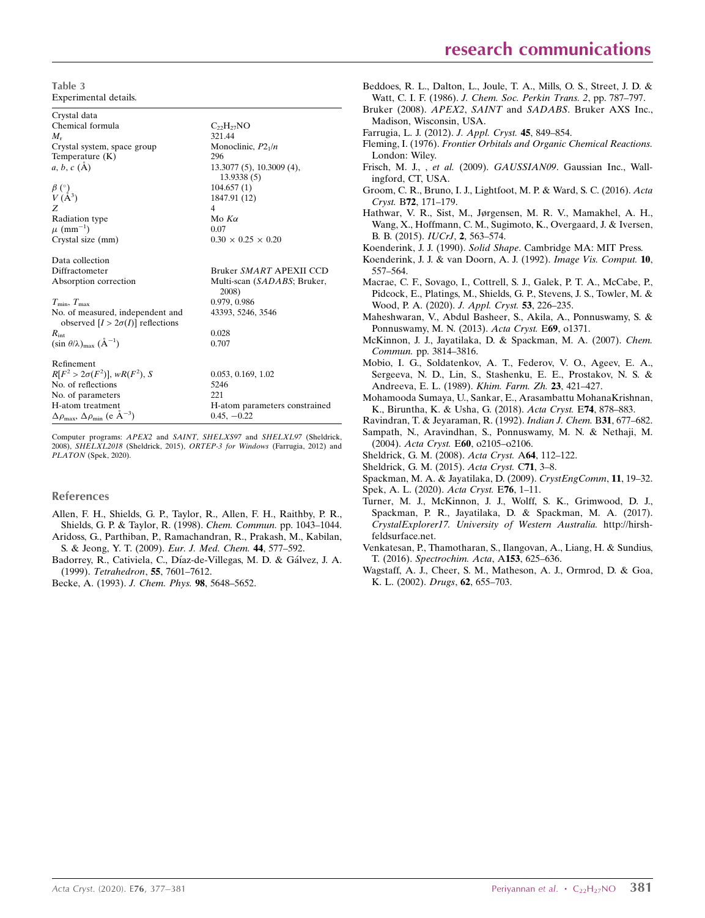Table 3 Experimental details.

Crystal data Chemical formula  $C_{22}H_{27}NO$ <br> $M$  321.44  $M_{\rm r}$  321.44 Crystal system, space group Monoclinic,  $P2_1/n$ <br>Temperature (K)  $296$ Temperature  $(K)$ <br>a, b, c  $(\AA)$ 13.3077 (5), 10.3009 (4), 13.9338 (5)  $\beta$  (°) ) 104.657 (1)  $V(\AA^3)$ <br>Z ) 1847.91 (12)  $Z \qquad \qquad 4$ Radiation type  $Mod(x)$  Mo  $K\alpha$  $\mu$  (mm<sup>-1</sup>)  $)$  0.07 Crystal size (mm)  $0.30 \times 0.25 \times 0.20$ Data collection Diffractometer Bruker SMART APEXII CCD Absorption correction Multi-scan (SADABS; Bruker, 2008)  $T_{\text{min}}$ ,  $T_{\text{max}}$  0.979, 0.986 No. of measured, independent and observed  $[I > 2\sigma(I)]$  reflections  $R_{int}$ 43393, 5246, 3546  $R_{\text{int}}$  0.028  $(\sin \theta/\lambda)_{\text{max}}$   $(\text{\AA}^{-1})$ ) 0.707 Refinement  $R[F^2 > 2\sigma(F^2)], wR(F^2)$ 0.053, 0.169, 1.02 No. of reflections 5246<br>No. of parameters 221 No. of parameters H-atom treatment H-atom parameters constrained  $\Delta\rho_{\text{max}}$ ,  $\Delta\rho_{\text{min}}$  (e  $\rm \AA^{-3}$  $0.45, -0.22$ 

Computer programs: APEX2 and SAINT, SHELXS97 and SHELXL97 (Sheldrick, 2008), SHELXL2018 (Sheldrick, 2015), ORTEP-3 for Windows (Farrugia, 2012) and PLATON (Spek, 2020).

#### References

- [Allen, F. H., Shields, G. P., Taylor, R., Allen, F. H., Raithby, P. R.,](http://scripts.iucr.org/cgi-bin/cr.cgi?rm=pdfbb&cnor=dx2023&bbid=BB1) [Shields, G. P. & Taylor, R. \(1998\).](http://scripts.iucr.org/cgi-bin/cr.cgi?rm=pdfbb&cnor=dx2023&bbid=BB1) Chem. Commun. pp. 1043–1044. [Aridoss, G., Parthiban, P., Ramachandran, R., Prakash, M., Kabilan,](http://scripts.iucr.org/cgi-bin/cr.cgi?rm=pdfbb&cnor=dx2023&bbid=BB2)
- [S. & Jeong, Y. T. \(2009\).](http://scripts.iucr.org/cgi-bin/cr.cgi?rm=pdfbb&cnor=dx2023&bbid=BB2) Eur. J. Med. Chem. 44, 577–592.
- Badorrey, R., Cativiela, C., Díaz-de-Villegas, M. D. & Gálvez, J. A. (1999). [Tetrahedron](http://scripts.iucr.org/cgi-bin/cr.cgi?rm=pdfbb&cnor=dx2023&bbid=BB3), 55, 7601–7612.
- [Becke, A. \(1993\).](http://scripts.iucr.org/cgi-bin/cr.cgi?rm=pdfbb&cnor=dx2023&bbid=BB4) J. Chem. Phys. 98, 5648–5652.
- [Beddoes, R. L., Dalton, L., Joule, T. A., Mills, O. S., Street, J. D. &](http://scripts.iucr.org/cgi-bin/cr.cgi?rm=pdfbb&cnor=dx2023&bbid=BB5) Watt, C. I. F. (1986). [J. Chem. Soc. Perkin Trans. 2](http://scripts.iucr.org/cgi-bin/cr.cgi?rm=pdfbb&cnor=dx2023&bbid=BB5), pp. 787–797. Bruker (2008). APEX2, SAINT and SADABS[. Bruker AXS Inc.,](http://scripts.iucr.org/cgi-bin/cr.cgi?rm=pdfbb&cnor=dx2023&bbid=BB6) [Madison, Wisconsin, USA.](http://scripts.iucr.org/cgi-bin/cr.cgi?rm=pdfbb&cnor=dx2023&bbid=BB6) [Farrugia, L. J. \(2012\).](http://scripts.iucr.org/cgi-bin/cr.cgi?rm=pdfbb&cnor=dx2023&bbid=BB7) J. Appl. Cryst. 45, 849–854. Fleming, I. (1976). [Frontier Orbitals and Organic Chemical Reactions.](http://scripts.iucr.org/cgi-bin/cr.cgi?rm=pdfbb&cnor=dx2023&bbid=BB8) [London: Wiley.](http://scripts.iucr.org/cgi-bin/cr.cgi?rm=pdfbb&cnor=dx2023&bbid=BB8) Frisch, M. J., , et al. (2009). GAUSSIAN09[. Gaussian Inc., Wall](http://scripts.iucr.org/cgi-bin/cr.cgi?rm=pdfbb&cnor=dx2023&bbid=BB9)[ingford, CT, USA.](http://scripts.iucr.org/cgi-bin/cr.cgi?rm=pdfbb&cnor=dx2023&bbid=BB9) [Groom, C. R., Bruno, I. J., Lightfoot, M. P. & Ward, S. C. \(2016\).](http://scripts.iucr.org/cgi-bin/cr.cgi?rm=pdfbb&cnor=dx2023&bbid=BB10) Acta Cryst. B72[, 171–179.](http://scripts.iucr.org/cgi-bin/cr.cgi?rm=pdfbb&cnor=dx2023&bbid=BB10) [Hathwar, V. R., Sist, M., Jørgensen, M. R. V., Mamakhel, A. H.,](http://scripts.iucr.org/cgi-bin/cr.cgi?rm=pdfbb&cnor=dx2023&bbid=BB11) [Wang, X., Hoffmann, C. M., Sugimoto, K., Overgaard, J. & Iversen,](http://scripts.iucr.org/cgi-bin/cr.cgi?rm=pdfbb&cnor=dx2023&bbid=BB11) [B. B. \(2015\).](http://scripts.iucr.org/cgi-bin/cr.cgi?rm=pdfbb&cnor=dx2023&bbid=BB11) IUCrJ, 2, 563–574. Koenderink, J. J. (1990). Solid Shape[. Cambridge MA: MIT Press.](http://scripts.iucr.org/cgi-bin/cr.cgi?rm=pdfbb&cnor=dx2023&bbid=BB12) [Koenderink, J. J. & van Doorn, A. J. \(1992\).](http://scripts.iucr.org/cgi-bin/cr.cgi?rm=pdfbb&cnor=dx2023&bbid=BB13) Image Vis. Comput. 10, [557–564.](http://scripts.iucr.org/cgi-bin/cr.cgi?rm=pdfbb&cnor=dx2023&bbid=BB13) [Macrae, C. F., Sovago, I., Cottrell, S. J., Galek, P. T. A., McCabe, P.,](http://scripts.iucr.org/cgi-bin/cr.cgi?rm=pdfbb&cnor=dx2023&bbid=BB14) [Pidcock, E., Platings, M., Shields, G. P., Stevens, J. S., Towler, M. &](http://scripts.iucr.org/cgi-bin/cr.cgi?rm=pdfbb&cnor=dx2023&bbid=BB14) [Wood, P. A. \(2020\).](http://scripts.iucr.org/cgi-bin/cr.cgi?rm=pdfbb&cnor=dx2023&bbid=BB14) J. Appl. Cryst. 53, 226–235. [Maheshwaran, V., Abdul Basheer, S., Akila, A., Ponnuswamy, S. &](http://scripts.iucr.org/cgi-bin/cr.cgi?rm=pdfbb&cnor=dx2023&bbid=BB15) [Ponnuswamy, M. N. \(2013\).](http://scripts.iucr.org/cgi-bin/cr.cgi?rm=pdfbb&cnor=dx2023&bbid=BB15) Acta Cryst. E69, o1371.
- [McKinnon, J. J., Jayatilaka, D. & Spackman, M. A. \(2007\).](http://scripts.iucr.org/cgi-bin/cr.cgi?rm=pdfbb&cnor=dx2023&bbid=BB16) Chem. Commun. [pp. 3814–3816.](http://scripts.iucr.org/cgi-bin/cr.cgi?rm=pdfbb&cnor=dx2023&bbid=BB16)
- [Mobio, I. G., Soldatenkov, A. T., Federov, V. O., Ageev, E. A.,](http://scripts.iucr.org/cgi-bin/cr.cgi?rm=pdfbb&cnor=dx2023&bbid=BB17) [Sergeeva, N. D., Lin, S., Stashenku, E. E., Prostakov, N. S. &](http://scripts.iucr.org/cgi-bin/cr.cgi?rm=pdfbb&cnor=dx2023&bbid=BB17) [Andreeva, E. L. \(1989\).](http://scripts.iucr.org/cgi-bin/cr.cgi?rm=pdfbb&cnor=dx2023&bbid=BB17) Khim. Farm. Zh. 23, 421–427.
- [Mohamooda Sumaya, U., Sankar, E., Arasambattu MohanaKrishnan,](http://scripts.iucr.org/cgi-bin/cr.cgi?rm=pdfbb&cnor=dx2023&bbid=BB18) [K., Biruntha, K. & Usha, G. \(2018\).](http://scripts.iucr.org/cgi-bin/cr.cgi?rm=pdfbb&cnor=dx2023&bbid=BB18) Acta Cryst. E74, 878–883.
- [Ravindran, T. & Jeyaraman, R. \(1992\).](http://scripts.iucr.org/cgi-bin/cr.cgi?rm=pdfbb&cnor=dx2023&bbid=BB20) Indian J. Chem. B31, 677–682.
- [Sampath, N., Aravindhan, S., Ponnuswamy, M. N. & Nethaji, M.](http://scripts.iucr.org/cgi-bin/cr.cgi?rm=pdfbb&cnor=dx2023&bbid=BB21) (2004). Acta Cryst. E60[, o2105–o2106.](http://scripts.iucr.org/cgi-bin/cr.cgi?rm=pdfbb&cnor=dx2023&bbid=BB21)
- [Sheldrick, G. M. \(2008\).](http://scripts.iucr.org/cgi-bin/cr.cgi?rm=pdfbb&cnor=dx2023&bbid=BB22) Acta Cryst. A64, 112–122.
- [Sheldrick, G. M. \(2015\).](http://scripts.iucr.org/cgi-bin/cr.cgi?rm=pdfbb&cnor=dx2023&bbid=BB23) Acta Cryst. C71, 3–8.
- [Spackman, M. A. & Jayatilaka, D. \(2009\).](http://scripts.iucr.org/cgi-bin/cr.cgi?rm=pdfbb&cnor=dx2023&bbid=BB24) CrystEngComm, 11, 19–32.
- [Spek, A. L. \(2020\).](http://scripts.iucr.org/cgi-bin/cr.cgi?rm=pdfbb&cnor=dx2023&bbid=BB25) Acta Cryst. E76, 1–11.
- [Turner, M. J., McKinnon, J. J., Wolff, S. K., Grimwood, D. J.,](http://scripts.iucr.org/cgi-bin/cr.cgi?rm=pdfbb&cnor=dx2023&bbid=BB26) [Spackman, P. R., Jayatilaka, D. & Spackman, M. A. \(2017\).](http://scripts.iucr.org/cgi-bin/cr.cgi?rm=pdfbb&cnor=dx2023&bbid=BB26) [CrystalExplorer17. University of Western Australia.](http://scripts.iucr.org/cgi-bin/cr.cgi?rm=pdfbb&cnor=dx2023&bbid=BB26) http://hirsh[feldsurface.net.](http://scripts.iucr.org/cgi-bin/cr.cgi?rm=pdfbb&cnor=dx2023&bbid=BB26)
- [Venkatesan, P., Thamotharan, S., Ilangovan, A., Liang, H. & Sundius,](http://scripts.iucr.org/cgi-bin/cr.cgi?rm=pdfbb&cnor=dx2023&bbid=BB27) T. (2016). [Spectrochim. Acta](http://scripts.iucr.org/cgi-bin/cr.cgi?rm=pdfbb&cnor=dx2023&bbid=BB27), A153, 625–636.
- [Wagstaff, A. J., Cheer, S. M., Matheson, A. J., Ormrod, D. & Goa,](http://scripts.iucr.org/cgi-bin/cr.cgi?rm=pdfbb&cnor=dx2023&bbid=BB28) [K. L. \(2002\).](http://scripts.iucr.org/cgi-bin/cr.cgi?rm=pdfbb&cnor=dx2023&bbid=BB28) Drugs, 62, 655–703.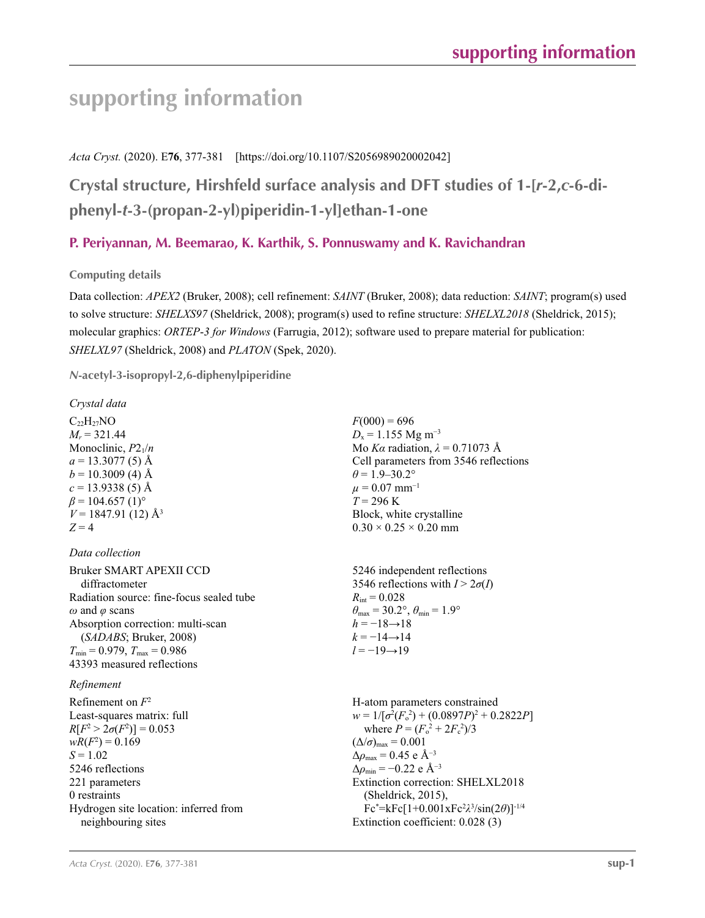# **supporting information**

## *Acta Cryst.* (2020). E**76**, 377-381 [https://doi.org/10.1107/S2056989020002042]

**Crystal structure, Hirshfeld surface analysis and DFT studies of 1-[***r***-2,***c***-6-diphenyl-***t***-3-(propan-2-yl)piperidin-1-yl]ethan-1-one**

# **P. Periyannan, M. Beemarao, K. Karthik, S. Ponnuswamy and K. Ravichandran**

**Computing details** 

Data collection: *APEX2* (Bruker, 2008); cell refinement: *SAINT* (Bruker, 2008); data reduction: *SAINT*; program(s) used to solve structure: *SHELXS97* (Sheldrick, 2008); program(s) used to refine structure: *SHELXL2018* (Sheldrick, 2015); molecular graphics: *ORTEP*-*3 for Windows* (Farrugia, 2012); software used to prepare material for publication: *SHELXL97* (Sheldrick, 2008) and *PLATON* (Spek, 2020).

*N***-acetyl-3-isopropyl-2,6-diphenylpiperidine** 

| Crystal data                             |                                                                         |
|------------------------------------------|-------------------------------------------------------------------------|
| $C_{22}H_{27}NO$                         | $F(000) = 696$                                                          |
| $M_r = 321.44$                           | $D_x = 1.155$ Mg m <sup>-3</sup>                                        |
| Monoclinic, $P2_1/n$                     | Mo Ka radiation, $\lambda = 0.71073$ Å                                  |
| $a = 13.3077(5)$ Å                       | Cell parameters from 3546 reflections                                   |
| $b = 10.3009$ (4) Å                      | $\theta$ = 1.9–30.2°                                                    |
| $c = 13.9338(5)$ Å                       | $\mu = 0.07$ mm <sup>-1</sup>                                           |
| $\beta$ = 104.657 (1) <sup>o</sup>       | $T = 296 \text{ K}$                                                     |
| $V = 1847.91(12)$ Å <sup>3</sup>         | Block, white crystalline                                                |
| $Z = 4$                                  | $0.30 \times 0.25 \times 0.20$ mm                                       |
|                                          |                                                                         |
| Data collection                          |                                                                         |
| Bruker SMART APEXII CCD                  | 5246 independent reflections                                            |
| diffractometer                           | 3546 reflections with $I > 2\sigma(I)$                                  |
| Radiation source: fine-focus sealed tube | $R_{\rm int} = 0.028$                                                   |
| $\omega$ and $\varphi$ scans             | $\theta_{\text{max}} = 30.2^{\circ}, \theta_{\text{min}} = 1.9^{\circ}$ |
| Absorption correction: multi-scan        | $h = -18 \rightarrow 18$                                                |
| (SADABS; Bruker, 2008)                   | $k = -14 \rightarrow 14$                                                |
| $T_{\min}$ = 0.979, $T_{\max}$ = 0.986   | $l = -19 \rightarrow 19$                                                |
| 43393 measured reflections               |                                                                         |
| Refinement                               |                                                                         |
| Refinement on $F^2$                      | H-atom parameters constrained                                           |
| Least-squares matrix: full               | $w = 1/[\sigma^2(F_o^2) + (0.0897P)^2 + 0.2822P]$                       |
| $R[F^2 > 2\sigma(F^2)] = 0.053$          | where $P = (F_o^2 + 2F_c^2)/3$                                          |
| $wR(F^2) = 0.169$                        | $(\Delta/\sigma)_{\text{max}} = 0.001$                                  |
| $S = 1.02$                               | $\Delta \rho_{\rm max} = 0.45$ e $\rm \AA^{-3}$                         |

Δ*ρ*max = 0.45 e Å−3 Δ*ρ*min = −0.22 e Å−3 Extinction correction: SHELXL2018 (Sheldrick, 2015), Fc\* =kFc[1+0.001xFc2 *λ*3 /sin(2*θ*)]-1/4 Extinction coefficient: 0.028 (3)

neighbouring sites

Hydrogen site location: inferred from

5246 reflections 221 parameters 0 restraints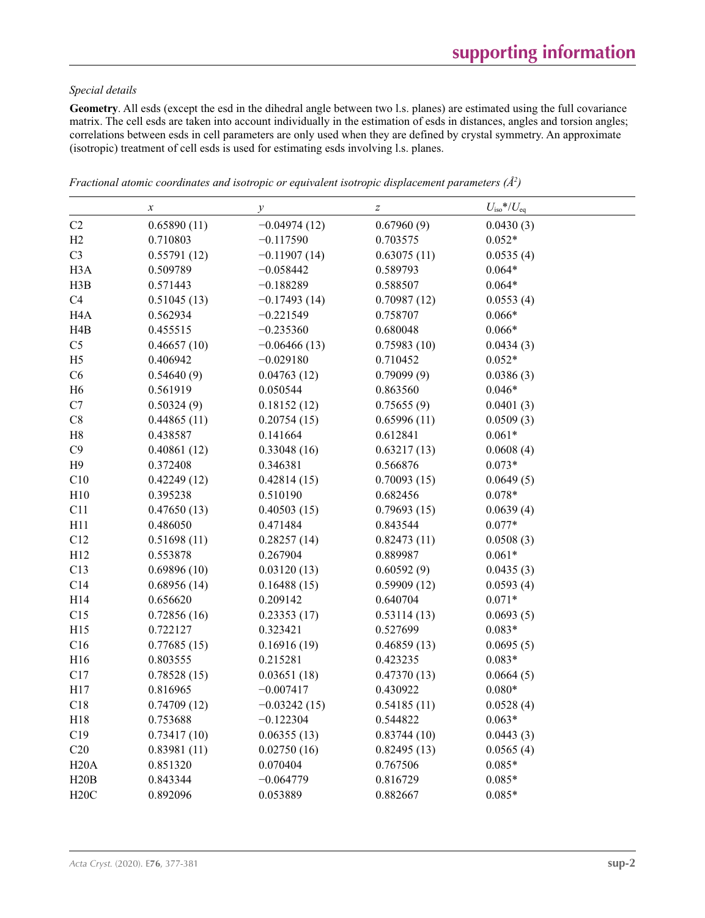### *Special details*

**Geometry**. All esds (except the esd in the dihedral angle between two l.s. planes) are estimated using the full covariance matrix. The cell esds are taken into account individually in the estimation of esds in distances, angles and torsion angles; correlations between esds in cell parameters are only used when they are defined by crystal symmetry. An approximate (isotropic) treatment of cell esds is used for estimating esds involving l.s. planes.

|                  | $\boldsymbol{x}$ | $\mathcal{Y}$  | $\boldsymbol{Z}$ | $U_{\rm iso}*/U_{\rm eq}$ |
|------------------|------------------|----------------|------------------|---------------------------|
| C2               | 0.65890(11)      | $-0.04974(12)$ | 0.67960(9)       | 0.0430(3)                 |
| H2               | 0.710803         | $-0.117590$    | 0.703575         | $0.052*$                  |
| C <sub>3</sub>   | 0.55791(12)      | $-0.11907(14)$ | 0.63075(11)      | 0.0535(4)                 |
| H <sub>3</sub> A | 0.509789         | $-0.058442$    | 0.589793         | $0.064*$                  |
| H3B              | 0.571443         | $-0.188289$    | 0.588507         | $0.064*$                  |
| C4               | 0.51045(13)      | $-0.17493(14)$ | 0.70987(12)      | 0.0553(4)                 |
| H <sub>4</sub> A | 0.562934         | $-0.221549$    | 0.758707         | $0.066*$                  |
| H <sub>4</sub> B | 0.455515         | $-0.235360$    | 0.680048         | $0.066*$                  |
| C <sub>5</sub>   | 0.46657(10)      | $-0.06466(13)$ | 0.75983(10)      | 0.0434(3)                 |
| H <sub>5</sub>   | 0.406942         | $-0.029180$    | 0.710452         | $0.052*$                  |
| C6               | 0.54640(9)       | 0.04763(12)    | 0.79099(9)       | 0.0386(3)                 |
| H <sub>6</sub>   | 0.561919         | 0.050544       | 0.863560         | $0.046*$                  |
| C7               | 0.50324(9)       | 0.18152(12)    | 0.75655(9)       | 0.0401(3)                 |
| $\rm{C}8$        | 0.44865(11)      | 0.20754(15)    | 0.65996(11)      | 0.0509(3)                 |
| H8               | 0.438587         | 0.141664       | 0.612841         | $0.061*$                  |
| C9               | 0.40861(12)      | 0.33048(16)    | 0.63217(13)      | 0.0608(4)                 |
| H <sub>9</sub>   | 0.372408         | 0.346381       | 0.566876         | $0.073*$                  |
| C10              | 0.42249(12)      | 0.42814(15)    | 0.70093(15)      | 0.0649(5)                 |
| H10              | 0.395238         | 0.510190       | 0.682456         | $0.078*$                  |
| C11              | 0.47650(13)      | 0.40503(15)    | 0.79693(15)      | 0.0639(4)                 |
| H11              | 0.486050         | 0.471484       | 0.843544         | $0.077*$                  |
| C12              | 0.51698(11)      | 0.28257(14)    | 0.82473(11)      | 0.0508(3)                 |
| H12              | 0.553878         | 0.267904       | 0.889987         | $0.061*$                  |
| C13              | 0.69896(10)      | 0.03120(13)    | 0.60592(9)       | 0.0435(3)                 |
| C14              | 0.68956(14)      | 0.16488(15)    | 0.59909(12)      | 0.0593(4)                 |
| H14              | 0.656620         | 0.209142       | 0.640704         | $0.071*$                  |
| C15              | 0.72856(16)      | 0.23353(17)    | 0.53114(13)      | 0.0693(5)                 |
| H15              | 0.722127         | 0.323421       | 0.527699         | $0.083*$                  |
| C16              | 0.77685(15)      | 0.16916(19)    | 0.46859(13)      | 0.0695(5)                 |
| H16              | 0.803555         | 0.215281       | 0.423235         | $0.083*$                  |
| C17              | 0.78528(15)      | 0.03651(18)    | 0.47370(13)      | 0.0664(5)                 |
| H17              | 0.816965         | $-0.007417$    | 0.430922         | $0.080*$                  |
| C18              | 0.74709(12)      | $-0.03242(15)$ | 0.54185(11)      | 0.0528(4)                 |
| H18              | 0.753688         | $-0.122304$    | 0.544822         | $0.063*$                  |
| C19              | 0.73417(10)      | 0.06355(13)    | 0.83744(10)      | 0.0443(3)                 |
| C20              | 0.83981(11)      | 0.02750(16)    | 0.82495(13)      | 0.0565(4)                 |
| H20A             | 0.851320         | 0.070404       | 0.767506         | $0.085*$                  |
| H20B             | 0.843344         | $-0.064779$    | 0.816729         | $0.085*$                  |
| H20C             | 0.892096         | 0.053889       | 0.882667         | $0.085*$                  |

*Fractional atomic coordinates and isotropic or equivalent isotropic displacement parameters (Å<sup>2</sup>)*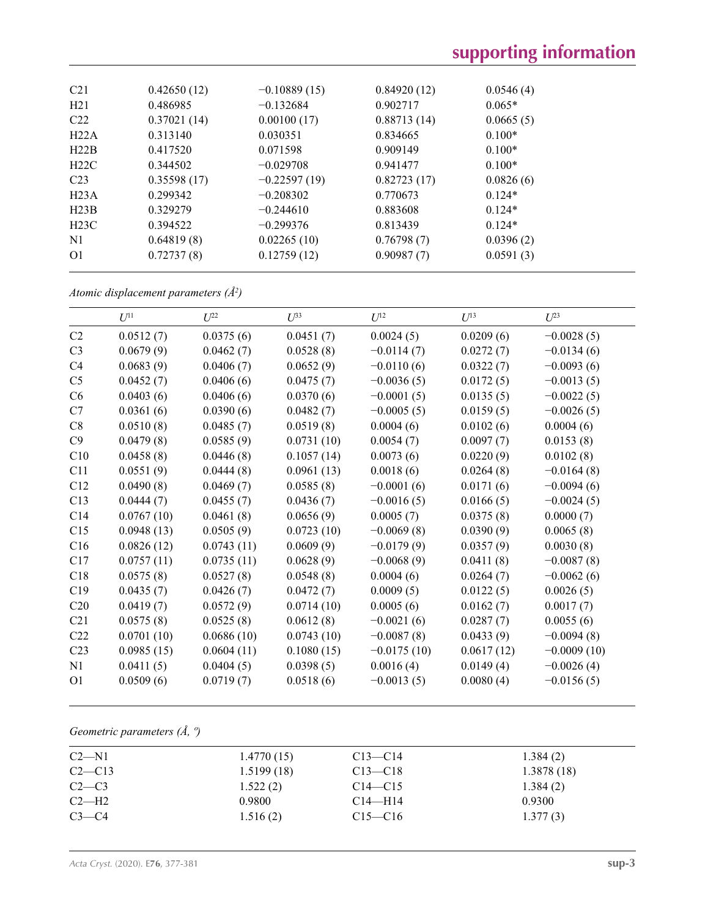| C <sub>21</sub> | 0.42650(12) | $-0.10889(15)$ | 0.84920(12) | 0.0546(4) |
|-----------------|-------------|----------------|-------------|-----------|
| H21             | 0.486985    | $-0.132684$    | 0.902717    | $0.065*$  |
| C22             | 0.37021(14) | 0.00100(17)    | 0.88713(14) | 0.0665(5) |
| H22A            | 0.313140    | 0.030351       | 0.834665    | $0.100*$  |
| H22B            | 0.417520    | 0.071598       | 0.909149    | $0.100*$  |
| H22C            | 0.344502    | $-0.029708$    | 0.941477    | $0.100*$  |
| C <sub>23</sub> | 0.35598(17) | $-0.22597(19)$ | 0.82723(17) | 0.0826(6) |
| H23A            | 0.299342    | $-0.208302$    | 0.770673    | $0.124*$  |
| H23B            | 0.329279    | $-0.244610$    | 0.883608    | $0.124*$  |
| H23C            | 0.394522    | $-0.299376$    | 0.813439    | $0.124*$  |
| N1              | 0.64819(8)  | 0.02265(10)    | 0.76798(7)  | 0.0396(2) |
| O <sub>1</sub>  | 0.72737(8)  | 0.12759(12)    | 0.90987(7)  | 0.0591(3) |
|                 |             |                |             |           |

*Atomic displacement parameters (Å2 )*

|                 | $U^{11}$   | $U^{22}$   | $U^{33}$   | $U^{12}$      | $U^{13}$   | $U^{23}$      |
|-----------------|------------|------------|------------|---------------|------------|---------------|
| C <sub>2</sub>  | 0.0512(7)  | 0.0375(6)  | 0.0451(7)  | 0.0024(5)     | 0.0209(6)  | $-0.0028(5)$  |
| C <sub>3</sub>  | 0.0679(9)  | 0.0462(7)  | 0.0528(8)  | $-0.0114(7)$  | 0.0272(7)  | $-0.0134(6)$  |
| C4              | 0.0683(9)  | 0.0406(7)  | 0.0652(9)  | $-0.0110(6)$  | 0.0322(7)  | $-0.0093(6)$  |
| C <sub>5</sub>  | 0.0452(7)  | 0.0406(6)  | 0.0475(7)  | $-0.0036(5)$  | 0.0172(5)  | $-0.0013(5)$  |
| C6              | 0.0403(6)  | 0.0406(6)  | 0.0370(6)  | $-0.0001(5)$  | 0.0135(5)  | $-0.0022(5)$  |
| C7              | 0.0361(6)  | 0.0390(6)  | 0.0482(7)  | $-0.0005(5)$  | 0.0159(5)  | $-0.0026(5)$  |
| C8              | 0.0510(8)  | 0.0485(7)  | 0.0519(8)  | 0.0004(6)     | 0.0102(6)  | 0.0004(6)     |
| C9              | 0.0479(8)  | 0.0585(9)  | 0.0731(10) | 0.0054(7)     | 0.0097(7)  | 0.0153(8)     |
| C10             | 0.0458(8)  | 0.0446(8)  | 0.1057(14) | 0.0073(6)     | 0.0220(9)  | 0.0102(8)     |
| C11             | 0.0551(9)  | 0.0444(8)  | 0.0961(13) | 0.0018(6)     | 0.0264(8)  | $-0.0164(8)$  |
| C12             | 0.0490(8)  | 0.0469(7)  | 0.0585(8)  | $-0.0001(6)$  | 0.0171(6)  | $-0.0094(6)$  |
| C13             | 0.0444(7)  | 0.0455(7)  | 0.0436(7)  | $-0.0016(5)$  | 0.0166(5)  | $-0.0024(5)$  |
| C14             | 0.0767(10) | 0.0461(8)  | 0.0656(9)  | 0.0005(7)     | 0.0375(8)  | 0.0000(7)     |
| C15             | 0.0948(13) | 0.0505(9)  | 0.0723(10) | $-0.0069(8)$  | 0.0390(9)  | 0.0065(8)     |
| C16             | 0.0826(12) | 0.0743(11) | 0.0609(9)  | $-0.0179(9)$  | 0.0357(9)  | 0.0030(8)     |
| C17             | 0.0757(11) | 0.0735(11) | 0.0628(9)  | $-0.0068(9)$  | 0.0411(8)  | $-0.0087(8)$  |
| C18             | 0.0575(8)  | 0.0527(8)  | 0.0548(8)  | 0.0004(6)     | 0.0264(7)  | $-0.0062(6)$  |
| C19             | 0.0435(7)  | 0.0426(7)  | 0.0472(7)  | 0.0009(5)     | 0.0122(5)  | 0.0026(5)     |
| C <sub>20</sub> | 0.0419(7)  | 0.0572(9)  | 0.0714(10) | 0.0005(6)     | 0.0162(7)  | 0.0017(7)     |
| C21             | 0.0575(8)  | 0.0525(8)  | 0.0612(8)  | $-0.0021(6)$  | 0.0287(7)  | 0.0055(6)     |
| C22             | 0.0701(10) | 0.0686(10) | 0.0743(10) | $-0.0087(8)$  | 0.0433(9)  | $-0.0094(8)$  |
| C <sub>23</sub> | 0.0985(15) | 0.0604(11) | 0.1080(15) | $-0.0175(10)$ | 0.0617(12) | $-0.0009(10)$ |
| N1              | 0.0411(5)  | 0.0404(5)  | 0.0398(5)  | 0.0016(4)     | 0.0149(4)  | $-0.0026(4)$  |
| O <sub>1</sub>  | 0.0509(6)  | 0.0719(7)  | 0.0518(6)  | $-0.0013(5)$  | 0.0080(4)  | $-0.0156(5)$  |

*Geometric parameters (Å, º)*

| $C2-M1$  | 1.4770(15) | $C13 - C14$ | 1.384(2)    |  |
|----------|------------|-------------|-------------|--|
| $C2-C13$ | 1.5199(18) | $C13 - C18$ | 1.3878 (18) |  |
| $C2-C3$  | 1.522(2)   | $C14 - C15$ | 1.384(2)    |  |
| $C2-H2$  | 0.9800     | $C14$ —H14  | 0.9300      |  |
| $C3-C4$  | 1.516(2)   | $C15 - C16$ | 1.377(3)    |  |
|          |            |             |             |  |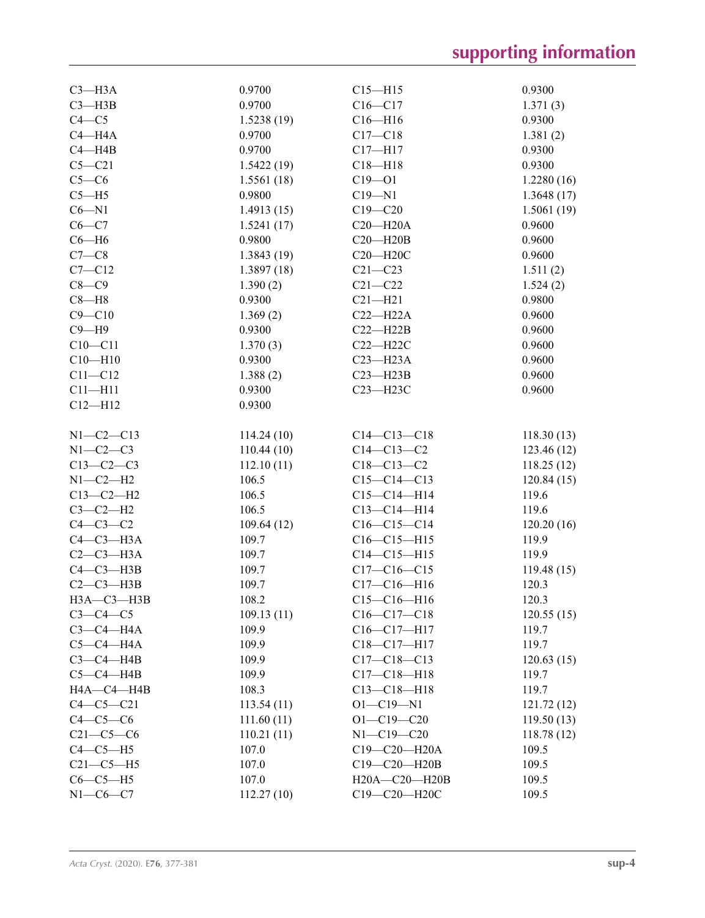| $C3 - H3A$      | 0.9700     | $C15 - H15$       | 0.9300     |
|-----------------|------------|-------------------|------------|
| $C3 - H3B$      | 0.9700     | $C16 - C17$       | 1.371(3)   |
| $C4 - C5$       | 1.5238(19) | $C16 - H16$       | 0.9300     |
| $C4 - H4A$      | 0.9700     | $C17 - C18$       | 1.381(2)   |
| $C4 - H4B$      | 0.9700     | $C17 - H17$       | 0.9300     |
| $C5 - C21$      | 1.5422(19) | $C18 - H18$       | 0.9300     |
| $C5-C6$         | 1.5561(18) | $C19 - 01$        | 1.2280(16) |
| $C5 - H5$       | 0.9800     | $C19 - N1$        | 1.3648(17) |
| $C6 - N1$       | 1.4913(15) | $C19 - C20$       | 1.5061(19) |
| $C6 - C7$       | 1.5241(17) | $C20 - H20A$      | 0.9600     |
| $C6 - H6$       | 0.9800     | $C20 - H20B$      | 0.9600     |
| $C7-C8$         | 1.3843(19) | $C20 - H20C$      | 0.9600     |
| $C7 - C12$      |            | $C21 - C23$       |            |
| $C8-C9$         | 1.3897(18) |                   | 1.511(2)   |
|                 | 1.390(2)   | $C21 - C22$       | 1.524(2)   |
| $C8 - H8$       | 0.9300     | $C21 - H21$       | 0.9800     |
| $C9 - C10$      | 1.369(2)   | $C22-H22A$        | 0.9600     |
| $C9 - H9$       | 0.9300     | $C22-H22B$        | 0.9600     |
| $C10 - C11$     | 1.370(3)   | $C22 - H22C$      | 0.9600     |
| $C10 - H10$     | 0.9300     | $C23 - H23A$      | 0.9600     |
| $C11 - C12$     | 1.388(2)   | $C23 - H23B$      | 0.9600     |
| $C11 - H11$     | 0.9300     | $C23 - H23C$      | 0.9600     |
| $C12 - H12$     | 0.9300     |                   |            |
|                 |            |                   |            |
| $N1 - C2 - C13$ | 114.24(10) | $C14 - C13 - C18$ | 118.30(13) |
| $N1-C2-C3$      | 110.44(10) | $C14 - C13 - C2$  | 123.46(12) |
| $C13-C2-C3$     | 112.10(11) | $C18 - C13 - C2$  | 118.25(12) |
| $N1-C2-H2$      | 106.5      | $C15-C14-C13$     | 120.84(15) |
| $C13-C2-H2$     | 106.5      | $C15-C14-H14$     | 119.6      |
| $C3-C2-H2$      | 106.5      | $C13 - C14 - H14$ | 119.6      |
| $C4-C3-C2$      | 109.64(12) | $C16-C15-C14$     | 120.20(16) |
| $C4-C3-H3A$     | 109.7      | $C16-C15-H15$     | 119.9      |
| $C2-C3-H3A$     | 109.7      | $C14 - C15 - H15$ | 119.9      |
| $C4-C3-H3B$     | 109.7      | $C17-C16-C15$     | 119.48(15) |
| $C2-C3-H3B$     | 109.7      | $C17 - C16 - H16$ | 120.3      |
| НЗА-СЗ-НЗВ      | 108.2      | $C15-C16-H16$     | 120.3      |
| $C3-C4-C5$      | 109.13(11) | $C16-C17-C18$     | 120.55(15) |
| $C3-C4-H4A$     | 109.9      | $C16-C17-H17$     | 119.7      |
| $C5-C4-H4A$     | 109.9      | C18-C17-H17       | 119.7      |
| $C3-C4-H4B$     | 109.9      | $C17 - C18 - C13$ | 120.63(15) |
| $C5-C4-HAB$     | 109.9      | $C17 - C18 - H18$ | 119.7      |
| HA—C4—H4B       | 108.3      | $C13 - C18 - H18$ | 119.7      |
| $C4 - C5 - C21$ | 113.54(11) | $O1 - C19 - N1$   | 121.72(12) |
| $C4-C5-C6$      | 111.60(11) | $O1 - C19 - C20$  | 119.50(13) |
| $C21-C5-C6$     | 110.21(11) | $N1 - C19 - C20$  | 118.78(12) |
| $C4-C5-H5$      | 107.0      | C19-C20-H20A      | 109.5      |
| $C21-C5-H5$     | 107.0      | C19-C20-H20B      | 109.5      |
| $C6-C5-H5$      | 107.0      | H20A-C20-H20B     | 109.5      |
| $N1-C6-C7$      | 112.27(10) | C19-C20-H20C      | 109.5      |
|                 |            |                   |            |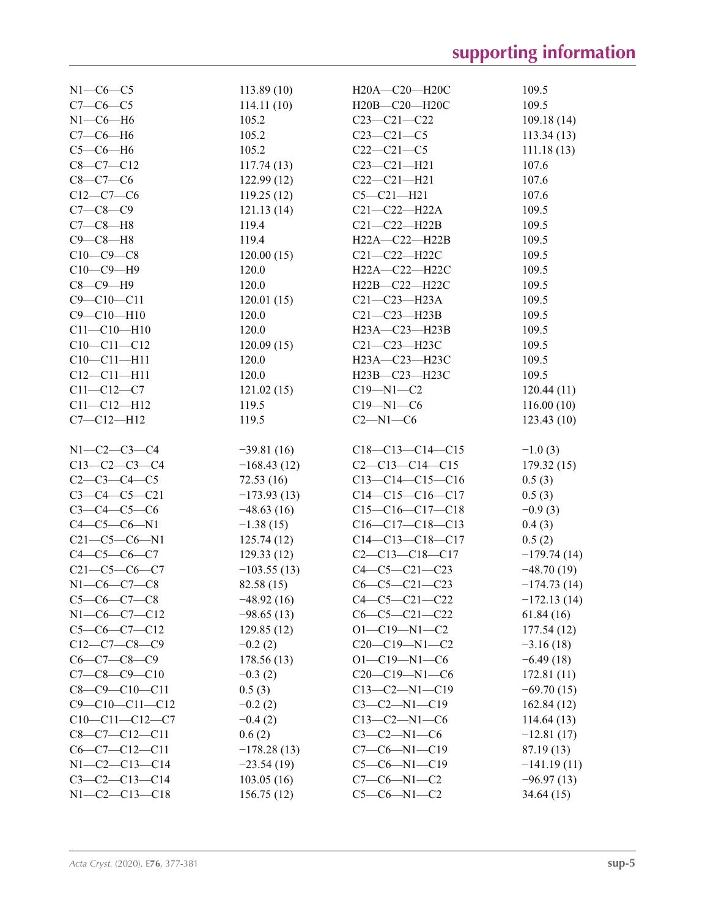| $N1-C6-C5$             | 113.89(10)    | H20A-C20-H20C          | 109.5         |
|------------------------|---------------|------------------------|---------------|
| $C7-C6-C5$             | 114.11(10)    | H20B-C20-H20C          | 109.5         |
| $N1-C6-H6$             | 105.2         | $C23-C21-C22$          | 109.18(14)    |
| $C7-C6-H6$             | 105.2         | $C23 - C21 - C5$       | 113.34(13)    |
| $C5-C6-H6$             | 105.2         | $C22-C21-C5$           | 111.18(13)    |
| $C8 - C7 - C12$        | 117.74(13)    | $C23 - C21 - H21$      | 107.6         |
| $C8 - C7 - C6$         | 122.99(12)    | $C22-C21-H21$          | 107.6         |
| $C12-C7-C6$            | 119.25(12)    | $C5 - C21 - H21$       | 107.6         |
| $C7 - C8 - C9$         | 121.13(14)    | $C21-C22-H22A$         | 109.5         |
| $C7-C8-H8$             | 119.4         | $C21-C22-H22B$         | 109.5         |
| $C9 - C8 - H8$         | 119.4         | H22A-C22-H22B          | 109.5         |
| $C10-C9-C8$            | 120.00(15)    | $C21-C22-H22C$         | 109.5         |
| $C10-C9-H9$            | 120.0         | H22A-C22-H22C          | 109.5         |
| $C8-C9-H9$             | 120.0         | H22B-C22-H22C          | 109.5         |
| $C9 - C10 - C11$       | 120.01(15)    | $C21 - C23 - H23A$     | 109.5         |
| $C9 - C10 - H10$       | 120.0         | $C21-C23-H23B$         | 109.5         |
| $C11 - C10 - H10$      | 120.0         | H23A-C23-H23B          | 109.5         |
| $C10-C11-C12$          |               |                        |               |
|                        | 120.09(15)    | C21-C23-H23C           | 109.5         |
| $C10 - C11 - H11$      | 120.0         | H23A-C23-H23C          | 109.5         |
| $C12 - C11 - H11$      | 120.0         | H23B-C23-H23C          | 109.5         |
| $C11 - C12 - C7$       | 121.02(15)    | $C19 - N1 - C2$        | 120.44(11)    |
| $C11 - C12 - H12$      | 119.5         | $C19 - N1 - C6$        | 116.00(10)    |
| $C7 - C12 - H12$       | 119.5         | $C2 - N1 - C6$         | 123.43(10)    |
|                        |               |                        |               |
| $N1 - C2 - C3 - C4$    | $-39.81(16)$  | $C18-C13-C14-C15$      | $-1.0(3)$     |
| $C13-C2-C3-C4$         | $-168.43(12)$ | $C2-C13-C14-C15$       | 179.32(15)    |
| $C2 - C3 - C4 - C5$    | 72.53(16)     | $C13-C14-C15-C16$      | 0.5(3)        |
| $C3-C4-C5-C21$         | $-173.93(13)$ | $C14-C15-C16-C17$      | 0.5(3)        |
| $C3 - C4 - C5 - C6$    | $-48.63(16)$  | $C15-C16-C17-C18$      | $-0.9(3)$     |
| $C4 - C5 - C6 - N1$    | $-1.38(15)$   | $C16-C17-C18-C13$      | 0.4(3)        |
| $C21 - C5 - C6 - N1$   | 125.74(12)    | $C14-C13-C18-C17$      | 0.5(2)        |
| $C4 - C5 - C6 - C7$    | 129.33(12)    | $C2 - C13 - C18 - C17$ | $-179.74(14)$ |
| $C21 - C5 - C6 - C7$   | $-103.55(13)$ | $C4-C5-C21-C23$        | $-48.70(19)$  |
| $N1 - C6 - C7 - C8$    | 82.58 (15)    | $C6-C5-C21-C23$        | $-174.73(14)$ |
| $C5-C6-C7-C8$          | $-48.92(16)$  | $C4-C5-C21-C22$        | $-172.13(14)$ |
| $N1-C6-C7-C12$         | $-98.65(13)$  | $C6-C5-C21-C22$        | 61.84(16)     |
| $C5-C6-C7-C12$         | 129.85(12)    | $O1 - C19 - N1 - C2$   | 177.54 (12)   |
| $C12-C7-C8-C9$         | $-0.2(2)$     | $C20-C19-N1-C2$        | $-3.16(18)$   |
| $C6-C7-C8-C9$          | 178.56(13)    | $O1 - C19 - N1 - C6$   | $-6.49(18)$   |
| $C7 - C8 - C9 - C10$   | $-0.3(2)$     | $C20-C19-N1-C6$        | 172.81(11)    |
| $C8-C9-C10-C11$        | 0.5(3)        | $C13-C2-N1-C19$        | $-69.70(15)$  |
| $C9 - C10 - C11 - C12$ | $-0.2(2)$     | $C3-C2-N1-C19$         | 162.84 (12)   |
| $C10-C11-C12-C7$       | $-0.4(2)$     | $C13-C2-N1-C6$         | 114.64(13)    |
| $C8-C7-C12-C11$        | 0.6(2)        | $C3-C2-N1-C6$          | $-12.81(17)$  |
| $C6-C7-C12-C11$        | $-178.28(13)$ | $C7-C6-N1-C19$         | 87.19 (13)    |
| $N1-C2-C13-C14$        | $-23.54(19)$  | $C5-C6-N1-C19$         | $-141.19(11)$ |
| $C3-C2-C13-C14$        | 103.05(16)    | $C7-C6-N1-C2$          | $-96.97(13)$  |
| $N1 - C2 - C13 - C18$  | 156.75(12)    | $C5-C6-N1-C2$          | 34.64(15)     |
|                        |               |                        |               |